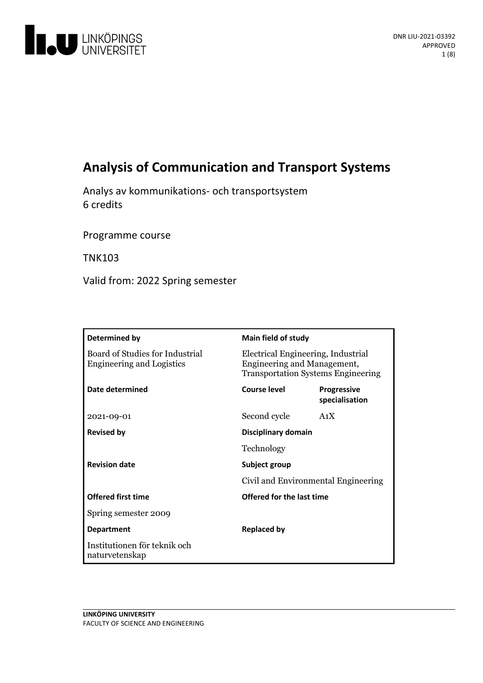

# **Analysis of Communication and TransportSystems**

Analys av kommunikations- och transportsystem 6 credits

Programme course

TNK103

Valid from: 2022 Spring semester

| Determined by                                                       | <b>Main field of study</b>                                                                                     |                                      |
|---------------------------------------------------------------------|----------------------------------------------------------------------------------------------------------------|--------------------------------------|
| Board of Studies for Industrial<br><b>Engineering and Logistics</b> | Electrical Engineering, Industrial<br>Engineering and Management,<br><b>Transportation Systems Engineering</b> |                                      |
| Date determined                                                     | Course level                                                                                                   | <b>Progressive</b><br>specialisation |
| 2021-09-01                                                          | Second cycle                                                                                                   | A <sub>1</sub> X                     |
| <b>Revised by</b>                                                   | Disciplinary domain                                                                                            |                                      |
|                                                                     | Technology                                                                                                     |                                      |
| <b>Revision date</b>                                                | Subject group                                                                                                  |                                      |
|                                                                     | Civil and Environmental Engineering                                                                            |                                      |
| <b>Offered first time</b>                                           | Offered for the last time                                                                                      |                                      |
| Spring semester 2009                                                |                                                                                                                |                                      |
| <b>Department</b>                                                   | <b>Replaced by</b>                                                                                             |                                      |
| Institutionen för teknik och<br>naturvetenskap                      |                                                                                                                |                                      |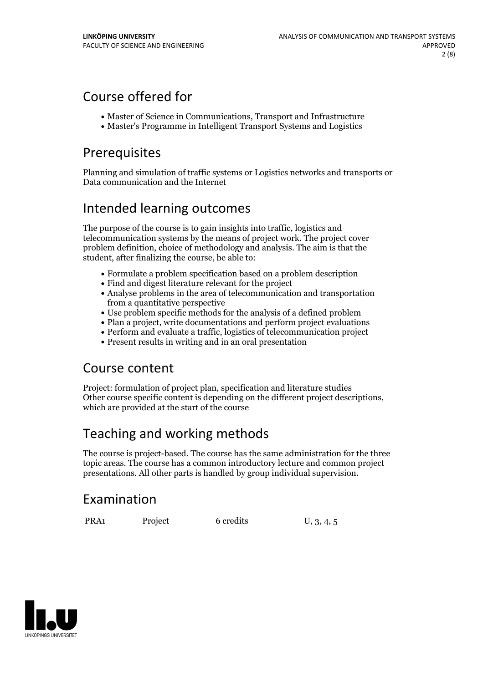# Course offered for

- Master of Science in Communications, Transport and Infrastructure
- Master's Programme in Intelligent Transport Systems and Logistics

## Prerequisites

Planning and simulation of traffic systems or Logistics networks and transports or Data communication and the Internet

## Intended learning outcomes

The purpose of the course is to gain insights into traffic, logistics and telecommunication systems by the means of project work. The project cover problem definition, choice of methodology and analysis. The aim is that the student, after finalizing the course, be able to:

- Formulate a problem specification based on a problem description
- Find and digest literature relevant for the project
- Analyse problems in the area of telecommunication and transportation from a quantitative perspective
- Use problem specific methods for the analysis of a defined problem
- Plan a project, write documentations and perform project evaluations
- Perform and evaluate a traffic, logistics of telecommunication project
- Present results in writing and in an oral presentation

## Course content

Project: formulation of project plan, specification and literature studies Other course specific content is depending on the different project descriptions, which are provided at the start of the course

# Teaching and working methods

The course is project-based. The course has the same administration for the three topic areas. The course has a common introductory lecture and common project presentations. All other parts is handled by group individual supervision.

## Examination

PRA1 Project 6 credits U, 3, 4, 5

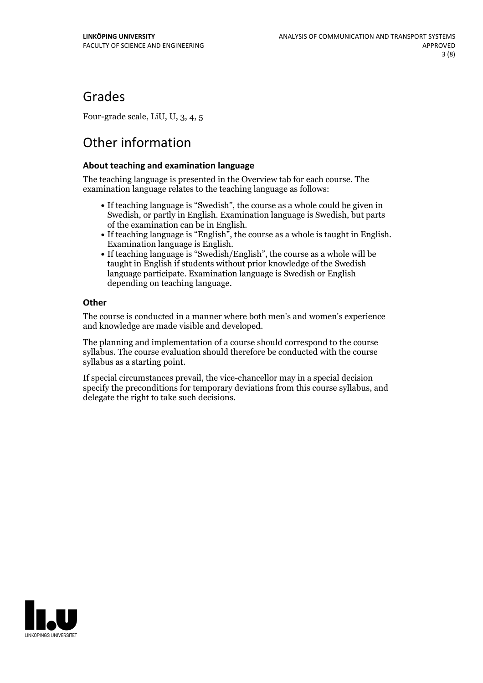## Grades

Four-grade scale, LiU, U, 3, 4, 5

# Other information

### **About teaching and examination language**

The teaching language is presented in the Overview tab for each course. The examination language relates to the teaching language as follows:

- If teaching language is "Swedish", the course as a whole could be given in Swedish, or partly in English. Examination language is Swedish, but parts
- of the examination can be in English. If teaching language is "English", the course as <sup>a</sup> whole is taught in English. Examination language is English. If teaching language is "Swedish/English", the course as <sup>a</sup> whole will be
- taught in English if students without prior knowledge of the Swedish language participate. Examination language is Swedish or English depending on teaching language.

### **Other**

The course is conducted in a manner where both men's and women's experience and knowledge are made visible and developed.

The planning and implementation of a course should correspond to the course syllabus. The course evaluation should therefore be conducted with the course syllabus as a starting point.

If special circumstances prevail, the vice-chancellor may in a special decision specify the preconditions for temporary deviations from this course syllabus, and delegate the right to take such decisions.

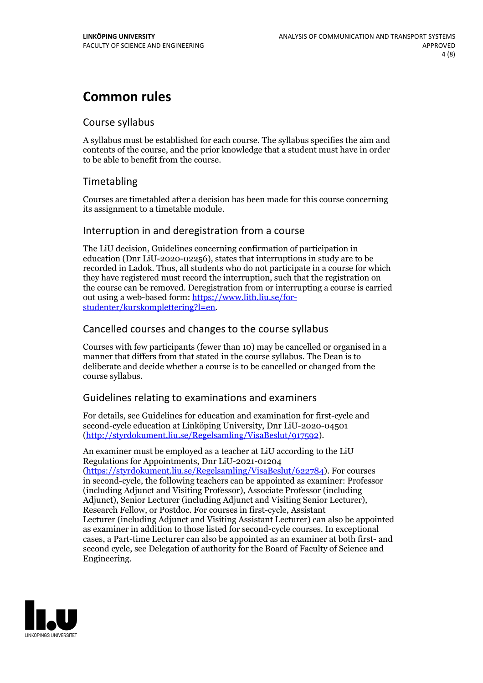## **Common rules**

## Course syllabus

A syllabus must be established for each course. The syllabus specifies the aim and contents of the course, and the prior knowledge that a student must have in order to be able to benefit from the course.

## Timetabling

Courses are timetabled after a decision has been made for this course concerning its assignment to a timetable module.

## Interruption in and deregistration from a course

The LiU decision, Guidelines concerning confirmation of participation in education (Dnr LiU-2020-02256), states that interruptions in study are to be recorded in Ladok. Thus, all students who do not participate in a course for which they have registered must record the interruption, such that the registration on the course can be removed. Deregistration from or interrupting a course is carried out using <sup>a</sup> web-based form: https://www.lith.liu.se/for- [studenter/kurskomplettering?l=en.](https://www.lith.liu.se/for-studenter/kurskomplettering?l=en)

## Cancelled coursesand changes to the course syllabus

Courses with few participants (fewer than 10) may be cancelled or organised in a manner that differs from that stated in the course syllabus. The Dean is to deliberate and decide whether a course is to be cancelled or changed from the course syllabus.

## Guidelines relating to examinations and examiners

For details, see Guidelines for education and examination for first-cycle and second-cycle education at Linköping University, Dnr LiU-2020-04501 [\(http://styrdokument.liu.se/Regelsamling/VisaBeslut/917592\)](http://styrdokument.liu.se/Regelsamling/VisaBeslut/917592).

An examiner must be employed as a teacher at LiU according to the LiU Regulations for Appointments, Dnr LiU-2021-01204 [\(https://styrdokument.liu.se/Regelsamling/VisaBeslut/622784](https://styrdokument.liu.se/Regelsamling/VisaBeslut/622784)). For courses in second-cycle, the following teachers can be appointed as examiner: Professor (including Adjunct and Visiting Professor), Associate Professor (including Adjunct), Senior Lecturer (including Adjunct and Visiting Senior Lecturer), Research Fellow, or Postdoc. For courses in first-cycle, Assistant Lecturer (including Adjunct and Visiting Assistant Lecturer) can also be appointed as examiner in addition to those listed for second-cycle courses. In exceptional cases, a Part-time Lecturer can also be appointed as an examiner at both first- and second cycle, see Delegation of authority for the Board of Faculty of Science and Engineering.

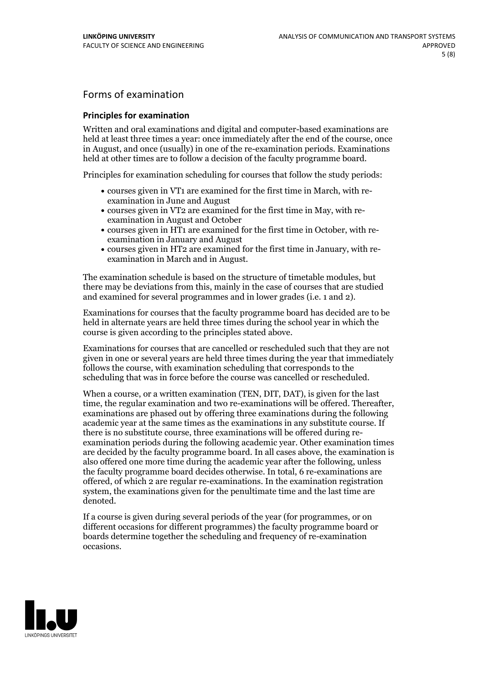## Forms of examination

### **Principles for examination**

Written and oral examinations and digital and computer-based examinations are held at least three times a year: once immediately after the end of the course, once in August, and once (usually) in one of the re-examination periods. Examinations held at other times are to follow a decision of the faculty programme board.

Principles for examination scheduling for courses that follow the study periods:

- courses given in VT1 are examined for the first time in March, with re-examination in June and August
- courses given in VT2 are examined for the first time in May, with re-examination in August and October
- courses given in HT1 are examined for the first time in October, with re-examination in January and August
- courses given in HT2 are examined for the first time in January, with re-examination in March and in August.

The examination schedule is based on the structure of timetable modules, but there may be deviations from this, mainly in the case of courses that are studied and examined for several programmes and in lower grades (i.e. 1 and 2).

Examinations for courses that the faculty programme board has decided are to be held in alternate years are held three times during the school year in which the course is given according to the principles stated above.

Examinations for courses that are cancelled orrescheduled such that they are not given in one or several years are held three times during the year that immediately follows the course, with examination scheduling that corresponds to the scheduling that was in force before the course was cancelled or rescheduled.

When a course, or a written examination (TEN, DIT, DAT), is given for the last time, the regular examination and two re-examinations will be offered. Thereafter, examinations are phased out by offering three examinations during the following academic year at the same times as the examinations in any substitute course. If there is no substitute course, three examinations will be offered during re- examination periods during the following academic year. Other examination times are decided by the faculty programme board. In all cases above, the examination is also offered one more time during the academic year after the following, unless the faculty programme board decides otherwise. In total, 6 re-examinations are offered, of which 2 are regular re-examinations. In the examination registration system, the examinations given for the penultimate time and the last time are denoted.

If a course is given during several periods of the year (for programmes, or on different occasions for different programmes) the faculty programme board or boards determine together the scheduling and frequency of re-examination occasions.

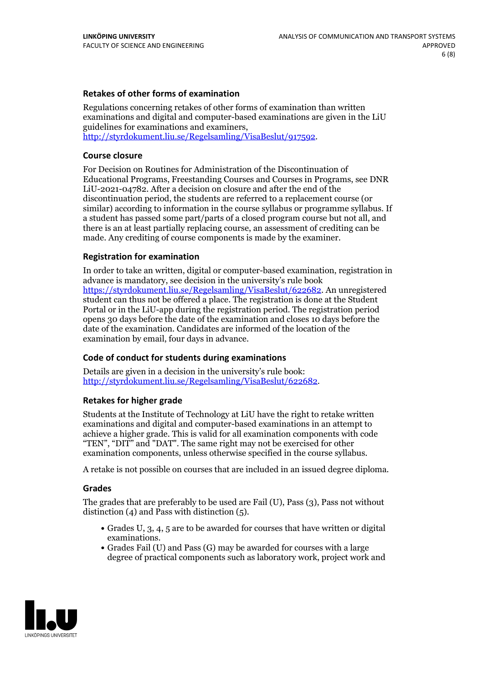### **Retakes of other forms of examination**

Regulations concerning retakes of other forms of examination than written examinations and digital and computer-based examinations are given in the LiU guidelines for examinations and examiners, [http://styrdokument.liu.se/Regelsamling/VisaBeslut/917592.](http://styrdokument.liu.se/Regelsamling/VisaBeslut/917592)

#### **Course closure**

For Decision on Routines for Administration of the Discontinuation of Educational Programs, Freestanding Courses and Courses in Programs, see DNR LiU-2021-04782. After a decision on closure and after the end of the discontinuation period, the students are referred to a replacement course (or similar) according to information in the course syllabus or programme syllabus. If a student has passed some part/parts of a closed program course but not all, and there is an at least partially replacing course, an assessment of crediting can be made. Any crediting of course components is made by the examiner.

### **Registration for examination**

In order to take an written, digital or computer-based examination, registration in advance is mandatory, see decision in the university's rule book [https://styrdokument.liu.se/Regelsamling/VisaBeslut/622682.](https://styrdokument.liu.se/Regelsamling/VisaBeslut/622682) An unregistered student can thus not be offered a place. The registration is done at the Student Portal or in the LiU-app during the registration period. The registration period opens 30 days before the date of the examination and closes 10 days before the date of the examination. Candidates are informed of the location of the examination by email, four days in advance.

### **Code of conduct for students during examinations**

Details are given in a decision in the university's rule book: <http://styrdokument.liu.se/Regelsamling/VisaBeslut/622682>.

#### **Retakes for higher grade**

Students at the Institute of Technology at LiU have the right to retake written examinations and digital and computer-based examinations in an attempt to achieve a higher grade. This is valid for all examination components with code "TEN", "DIT" and "DAT". The same right may not be exercised for other examination components, unless otherwise specified in the course syllabus.

A retake is not possible on courses that are included in an issued degree diploma.

#### **Grades**

The grades that are preferably to be used are Fail (U), Pass (3), Pass not without distinction  $(4)$  and Pass with distinction  $(5)$ .

- Grades U, 3, 4, 5 are to be awarded for courses that have written or digital examinations.<br>• Grades Fail (U) and Pass (G) may be awarded for courses with a large
- degree of practical components such as laboratory work, project work and

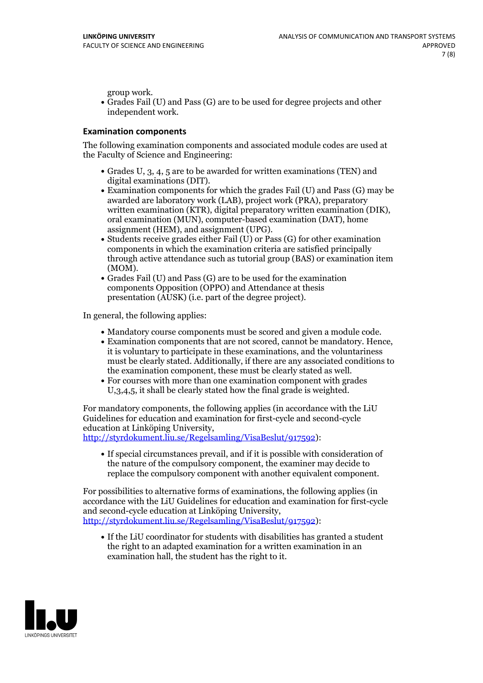group work.<br>• Grades Fail (U) and Pass (G) are to be used for degree projects and other independent work.

### **Examination components**

The following examination components and associated module codes are used at the Faculty of Science and Engineering:

- Grades U, 3, 4, 5 are to be awarded for written examinations (TEN) and
- digital examinations (DIT).<br>• Examination components for which the grades Fail (U) and Pass (G) may be awarded are laboratory work (LAB), project work (PRA), preparatory written examination (KTR), digital preparatory written examination (DIK), oral examination (MUN), computer-based examination (DAT), home
- assignment (HEM), and assignment (UPG).<br>• Students receive grades either Fail (U) or Pass (G) for other examination components in which the examination criteria are satisfied principally through active attendance such as tutorial group (BAS) or examination item
- (MOM).<br>• Grades Fail (U) and Pass (G) are to be used for the examination components Opposition (OPPO) and Attendance at thesis presentation (AUSK) (i.e. part of the degree project).

In general, the following applies:

- 
- Mandatory course components must be scored and given <sup>a</sup> module code. Examination components that are not scored, cannot be mandatory. Hence, it is voluntary to participate in these examinations, and the voluntariness must be clearly stated. Additionally, if there are any associated conditions to
- the examination component, these must be clearly stated as well.<br>• For courses with more than one examination component with grades U,3,4,5, it shall be clearly stated how the final grade is weighted.

For mandatory components, the following applies (in accordance with the LiU Guidelines for education and examination for first-cycle and second-cycle

[http://styrdokument.liu.se/Regelsamling/VisaBeslut/917592\)](http://styrdokument.liu.se/Regelsamling/VisaBeslut/917592):

If special circumstances prevail, and if it is possible with consideration of the nature of the compulsory component, the examiner may decide to replace the compulsory component with another equivalent component.

For possibilities to alternative forms of examinations, the following applies (in accordance with the LiU Guidelines for education and examination for first-cycle [http://styrdokument.liu.se/Regelsamling/VisaBeslut/917592\)](http://styrdokument.liu.se/Regelsamling/VisaBeslut/917592):

If the LiU coordinator for students with disabilities has granted a student the right to an adapted examination for a written examination in an examination hall, the student has the right to it.